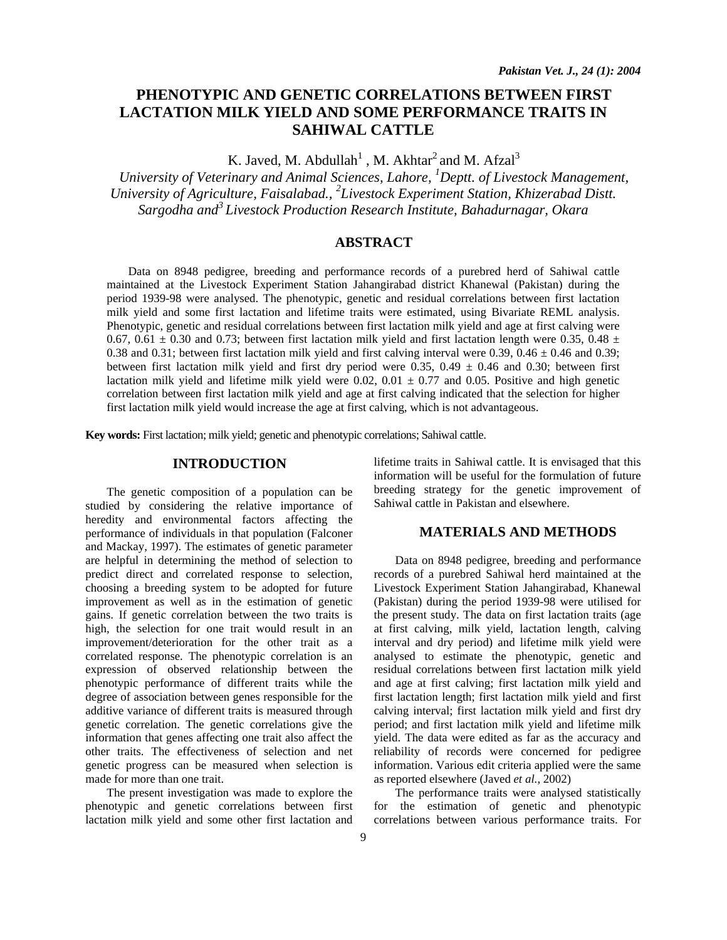# **PHENOTYPIC AND GENETIC CORRELATIONS BETWEEN FIRST LACTATION MILK YIELD AND SOME PERFORMANCE TRAITS IN SAHIWAL CATTLE**

K. Javed, M. Abdullah<sup>1</sup>, M. Akhtar<sup>2</sup> and M. Afzal<sup>3</sup>

*University of Veterinary and Animal Sciences, Lahore, 1 Deptt. of Livestock Management, University of Agriculture, Faisalabad., 2 Livestock Experiment Station, Khizerabad Distt. Sargodha and3 Livestock Production Research Institute, Bahadurnagar, Okara* 

# **ABSTRACT**

Data on 8948 pedigree, breeding and performance records of a purebred herd of Sahiwal cattle maintained at the Livestock Experiment Station Jahangirabad district Khanewal (Pakistan) during the period 1939-98 were analysed. The phenotypic, genetic and residual correlations between first lactation milk yield and some first lactation and lifetime traits were estimated, using Bivariate REML analysis. Phenotypic, genetic and residual correlations between first lactation milk yield and age at first calving were 0.67, 0.61  $\pm$  0.30 and 0.73; between first lactation milk yield and first lactation length were 0.35, 0.48  $\pm$ 0.38 and 0.31; between first lactation milk yield and first calving interval were 0.39,  $0.46 \pm 0.46$  and 0.39; between first lactation milk yield and first dry period were 0.35,  $0.49 \pm 0.46$  and 0.30; between first lactation milk yield and lifetime milk yield were 0.02,  $0.01 \pm 0.77$  and 0.05. Positive and high genetic correlation between first lactation milk yield and age at first calving indicated that the selection for higher first lactation milk yield would increase the age at first calving, which is not advantageous.

**Key words:** First lactation; milk yield; genetic and phenotypic correlations; Sahiwal cattle.

### **INTRODUCTION**

The genetic composition of a population can be studied by considering the relative importance of heredity and environmental factors affecting the performance of individuals in that population (Falconer and Mackay, 1997). The estimates of genetic parameter are helpful in determining the method of selection to predict direct and correlated response to selection, choosing a breeding system to be adopted for future improvement as well as in the estimation of genetic gains. If genetic correlation between the two traits is high, the selection for one trait would result in an improvement/deterioration for the other trait as a correlated response. The phenotypic correlation is an expression of observed relationship between the phenotypic performance of different traits while the degree of association between genes responsible for the additive variance of different traits is measured through genetic correlation. The genetic correlations give the information that genes affecting one trait also affect the other traits. The effectiveness of selection and net genetic progress can be measured when selection is made for more than one trait.

The present investigation was made to explore the phenotypic and genetic correlations between first lactation milk yield and some other first lactation and lifetime traits in Sahiwal cattle. It is envisaged that this information will be useful for the formulation of future breeding strategy for the genetic improvement of Sahiwal cattle in Pakistan and elsewhere.

# **MATERIALS AND METHODS**

Data on 8948 pedigree, breeding and performance records of a purebred Sahiwal herd maintained at the Livestock Experiment Station Jahangirabad, Khanewal (Pakistan) during the period 1939-98 were utilised for the present study. The data on first lactation traits (age at first calving, milk yield, lactation length, calving interval and dry period) and lifetime milk yield were analysed to estimate the phenotypic, genetic and residual correlations between first lactation milk yield and age at first calving; first lactation milk yield and first lactation length; first lactation milk yield and first calving interval; first lactation milk yield and first dry period; and first lactation milk yield and lifetime milk yield. The data were edited as far as the accuracy and reliability of records were concerned for pedigree information. Various edit criteria applied were the same as reported elsewhere (Javed *et al.,* 2002)

The performance traits were analysed statistically for the estimation of genetic and phenotypic correlations between various performance traits. For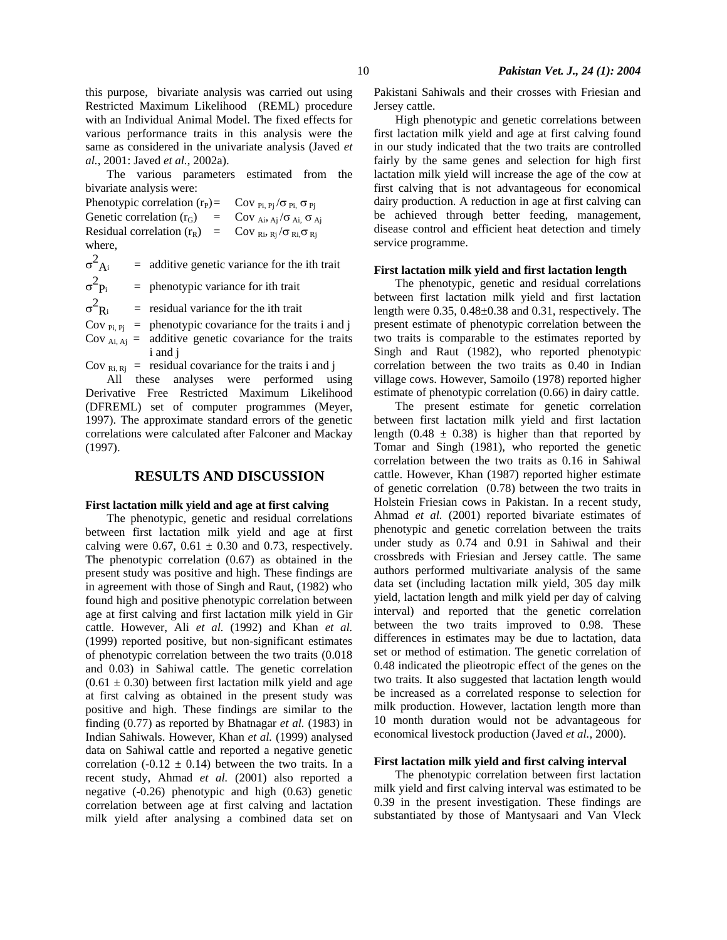The various parameters estimated from the bivariate analysis were:

Phenotypic correlation  $(r_P) = \text{Cov}_{\text{Pi}, \text{Pi}} / \sigma_{\text{Pi}, \text{Pi}}$ Genetic correlation  $(r_G)$  = Cov <sub>Ai</sub>,  $_{Ai}/\sigma$  <sub>Ai</sub>,  $\sigma$  <sub>Aj</sub> Residual correlation  $(r_R)$  = Cov  $_{\text{Ri}}$ ,  $_{\text{Rj}}/\sigma_{\text{Ri}}$ ,  $\sigma_{\text{Rj}}$ where,

 $\sigma^2$  $=$  additive genetic variance for the ith trait  $\sigma^2$  $=$  phenotypic variance for ith trait

 $\sigma^2$  $=$  residual variance for the ith trait

Cov  $_{\text{Pi}, \text{Pi}}$  = phenotypic covariance for the traits i and j Cov  $_{Ai, Aj}$  = additive genetic covariance for the traits i and j

Cov  $_{\text{Ri, Ri}}$  = residual covariance for the traits i and j

All these analyses were performed using Derivative Free Restricted Maximum Likelihood (DFREML) set of computer programmes (Meyer, 1997). The approximate standard errors of the genetic correlations were calculated after Falconer and Mackay (1997).

# **RESULTS AND DISCUSSION**

### **First lactation milk yield and age at first calving**

The phenotypic, genetic and residual correlations between first lactation milk yield and age at first calving were 0.67,  $0.61 \pm 0.30$  and 0.73, respectively. The phenotypic correlation (0.67) as obtained in the present study was positive and high. These findings are in agreement with those of Singh and Raut*,* (1982) who found high and positive phenotypic correlation between age at first calving and first lactation milk yield in Gir cattle. However, Ali *et al.* (1992) and Khan *et al.* (1999) reported positive, but non-significant estimates of phenotypic correlation between the two traits (0.018 and 0.03) in Sahiwal cattle. The genetic correlation  $(0.61 \pm 0.30)$  between first lactation milk yield and age at first calving as obtained in the present study was positive and high. These findings are similar to the finding (0.77) as reported by Bhatnagar *et al.* (1983) in Indian Sahiwals. However, Khan *et al.* (1999) analysed data on Sahiwal cattle and reported a negative genetic correlation (-0.12  $\pm$  0.14) between the two traits. In a recent study, Ahmad *et al.* (2001) also reported a negative (-0.26) phenotypic and high (0.63) genetic correlation between age at first calving and lactation milk yield after analysing a combined data set on Pakistani Sahiwals and their crosses with Friesian and Jersey cattle.

High phenotypic and genetic correlations between first lactation milk yield and age at first calving found in our study indicated that the two traits are controlled fairly by the same genes and selection for high first lactation milk yield will increase the age of the cow at first calving that is not advantageous for economical dairy production. A reduction in age at first calving can be achieved through better feeding, management, disease control and efficient heat detection and timely service programme.

#### **First lactation milk yield and first lactation length**

The phenotypic, genetic and residual correlations between first lactation milk yield and first lactation length were 0.35, 0.48±0.38 and 0.31, respectively. The present estimate of phenotypic correlation between the two traits is comparable to the estimates reported by Singh and Raut (1982), who reported phenotypic correlation between the two traits as 0.40 in Indian village cows. However, Samoilo (1978) reported higher estimate of phenotypic correlation (0.66) in dairy cattle.

The present estimate for genetic correlation between first lactation milk yield and first lactation length (0.48  $\pm$  0.38) is higher than that reported by Tomar and Singh (1981), who reported the genetic correlation between the two traits as 0.16 in Sahiwal cattle. However, Khan (1987) reported higher estimate of genetic correlation (0.78) between the two traits in Holstein Friesian cows in Pakistan. In a recent study, Ahmad *et al.* (2001) reported bivariate estimates of phenotypic and genetic correlation between the traits under study as 0.74 and 0.91 in Sahiwal and their crossbreds with Friesian and Jersey cattle. The same authors performed multivariate analysis of the same data set (including lactation milk yield, 305 day milk yield, lactation length and milk yield per day of calving interval) and reported that the genetic correlation between the two traits improved to 0.98. These differences in estimates may be due to lactation, data set or method of estimation. The genetic correlation of 0.48 indicated the plieotropic effect of the genes on the two traits. It also suggested that lactation length would be increased as a correlated response to selection for milk production. However, lactation length more than 10 month duration would not be advantageous for economical livestock production (Javed *et al.,* 2000).

#### **First lactation milk yield and first calving interval**

The phenotypic correlation between first lactation milk yield and first calving interval was estimated to be 0.39 in the present investigation. These findings are substantiated by those of Mantysaari and Van Vleck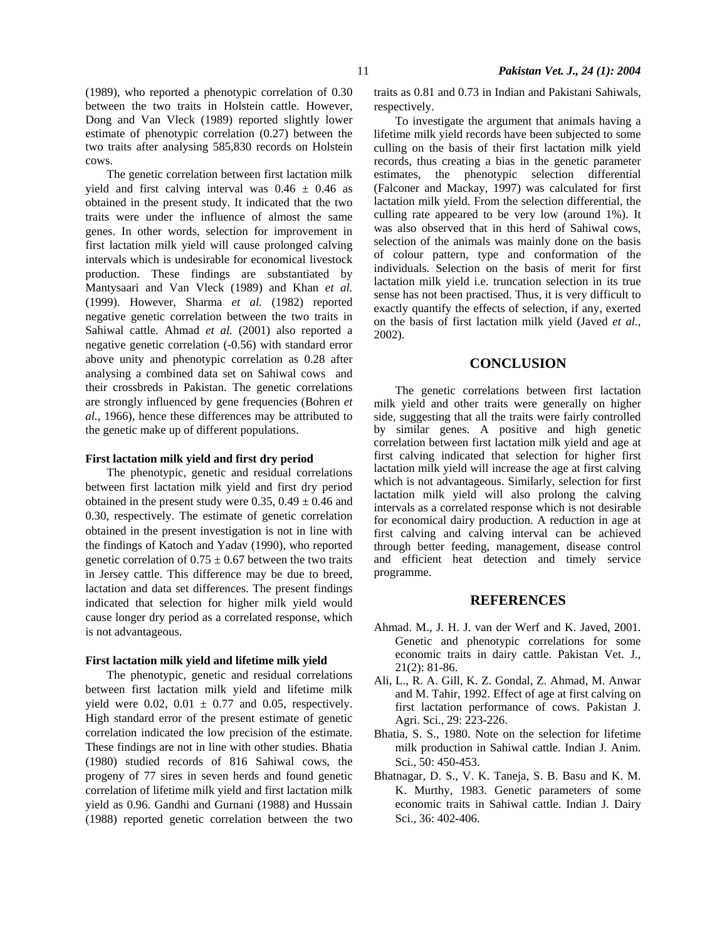(1989), who reported a phenotypic correlation of 0.30 between the two traits in Holstein cattle. However, Dong and Van Vleck (1989) reported slightly lower estimate of phenotypic correlation (0.27) between the two traits after analysing 585,830 records on Holstein cows.

The genetic correlation between first lactation milk yield and first calving interval was  $0.46 \pm 0.46$  as obtained in the present study. It indicated that the two traits were under the influence of almost the same genes. In other words, selection for improvement in first lactation milk yield will cause prolonged calving intervals which is undesirable for economical livestock production. These findings are substantiated by Mantysaari and Van Vleck (1989) and Khan *et al.*  (1999). However, Sharma *et al.* (1982) reported negative genetic correlation between the two traits in Sahiwal cattle. Ahmad *et al.* (2001) also reported a negative genetic correlation (-0.56) with standard error above unity and phenotypic correlation as 0.28 after analysing a combined data set on Sahiwal cows and their crossbreds in Pakistan. The genetic correlations are strongly influenced by gene frequencies (Bohren *et al.*, 1966), hence these differences may be attributed to the genetic make up of different populations.

### **First lactation milk yield and first dry period**

The phenotypic, genetic and residual correlations between first lactation milk yield and first dry period obtained in the present study were 0.35,  $0.49 \pm 0.46$  and 0.30, respectively. The estimate of genetic correlation obtained in the present investigation is not in line with the findings of Katoch and Yadav (1990), who reported genetic correlation of  $0.75 \pm 0.67$  between the two traits in Jersey cattle. This difference may be due to breed, lactation and data set differences. The present findings indicated that selection for higher milk yield would cause longer dry period as a correlated response, which is not advantageous.

#### **First lactation milk yield and lifetime milk yield**

The phenotypic, genetic and residual correlations between first lactation milk yield and lifetime milk yield were 0.02,  $0.01 \pm 0.77$  and 0.05, respectively. High standard error of the present estimate of genetic correlation indicated the low precision of the estimate. These findings are not in line with other studies. Bhatia (1980) studied records of 816 Sahiwal cows, the progeny of 77 sires in seven herds and found genetic correlation of lifetime milk yield and first lactation milk yield as 0.96. Gandhi and Gurnani (1988) and Hussain (1988) reported genetic correlation between the two traits as 0.81 and 0.73 in Indian and Pakistani Sahiwals, respectively.

To investigate the argument that animals having a lifetime milk yield records have been subjected to some culling on the basis of their first lactation milk yield records, thus creating a bias in the genetic parameter estimates, the phenotypic selection differential (Falconer and Mackay, 1997) was calculated for first lactation milk yield. From the selection differential, the culling rate appeared to be very low (around 1%). It was also observed that in this herd of Sahiwal cows, selection of the animals was mainly done on the basis of colour pattern, type and conformation of the individuals. Selection on the basis of merit for first lactation milk yield i.e. truncation selection in its true sense has not been practised. Thus, it is very difficult to exactly quantify the effects of selection, if any, exerted on the basis of first lactation milk yield (Javed *et al.,* 2002).

### **CONCLUSION**

The genetic correlations between first lactation milk yield and other traits were generally on higher side, suggesting that all the traits were fairly controlled by similar genes. A positive and high genetic correlation between first lactation milk yield and age at first calving indicated that selection for higher first lactation milk yield will increase the age at first calving which is not advantageous. Similarly, selection for first lactation milk yield will also prolong the calving intervals as a correlated response which is not desirable for economical dairy production. A reduction in age at first calving and calving interval can be achieved through better feeding, management, disease control and efficient heat detection and timely service programme.

### **REFERENCES**

- Ahmad. M., J. H. J. van der Werf and K. Javed, 2001. Genetic and phenotypic correlations for some economic traits in dairy cattle. Pakistan Vet. J., 21(2): 81-86.
- Ali, L., R. A. Gill, K. Z. Gondal, Z. Ahmad, M. Anwar and M. Tahir, 1992. Effect of age at first calving on first lactation performance of cows. Pakistan J. Agri. Sci., 29: 223-226.
- Bhatia, S. S., 1980. Note on the selection for lifetime milk production in Sahiwal cattle. Indian J. Anim. Sci., 50: 450-453.
- Bhatnagar, D. S., V. K. Taneja, S. B. Basu and K. M. K. Murthy, 1983. Genetic parameters of some economic traits in Sahiwal cattle. Indian J. Dairy Sci., 36: 402-406.